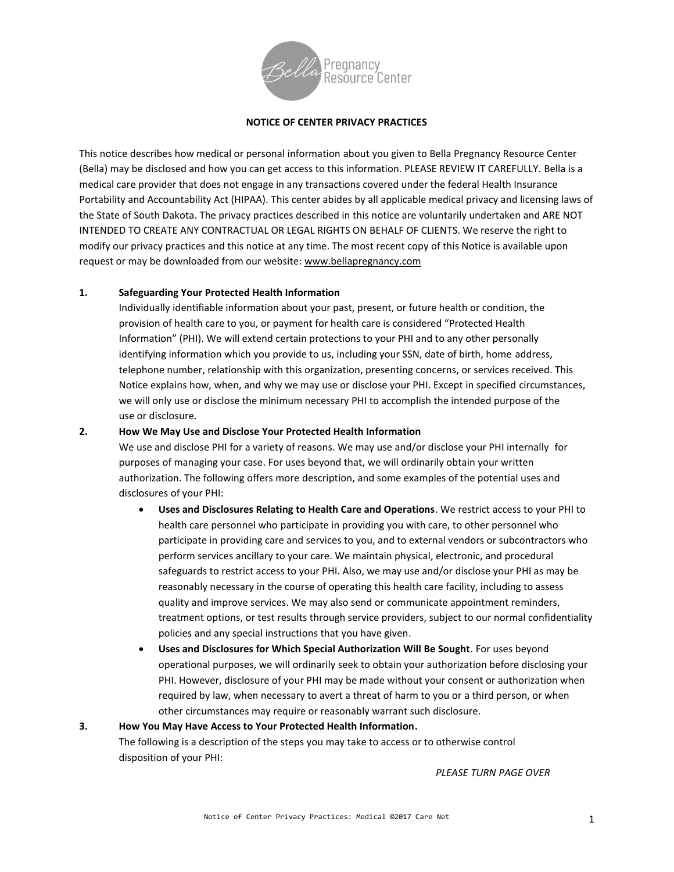

### **NOTICE OF CENTER PRIVACY PRACTICES**

This notice describes how medical or personal information about you given to Bella Pregnancy Resource Center (Bella) may be disclosed and how you can get access to this information. PLEASE REVIEW IT CAREFULLY. Bella is a medical care provider that does not engage in any transactions covered under the federal Health Insurance Portability and Accountability Act (HIPAA). This center abides by all applicable medical privacy and licensing laws of the State of South Dakota. The privacy practices described in this notice are voluntarily undertaken and ARE NOT INTENDED TO CREATE ANY CONTRACTUAL OR LEGAL RIGHTS ON BEHALF OF CLIENTS. We reserve the right to modify our privacy practices and this notice at any time. The most recent copy of this Notice is available upon request or may be downloaded from our website: [www.bellapregnancy.com](http://www.bellapregnancy.com/)

### **1. Safeguarding Your Protected Health Information**

Individually identifiable information about your past, present, or future health or condition, the provision of health care to you, or payment for health care is considered "Protected Health Information" (PHI). We will extend certain protections to your PHI and to any other personally identifying information which you provide to us, including your SSN, date of birth, home address, telephone number, relationship with this organization, presenting concerns, or services received. This Notice explains how, when, and why we may use or disclose your PHI. Except in specified circumstances, we will only use or disclose the minimum necessary PHI to accomplish the intended purpose of the use or disclosure.

## **2. How We May Use and Disclose Your Protected Health Information**

We use and disclose PHI for a variety of reasons. We may use and/or disclose your PHI internally for purposes of managing your case. For uses beyond that, we will ordinarily obtain your written authorization. The following offers more description, and some examples of the potential uses and disclosures of your PHI:

- **Uses and Disclosures Relating to Health Care and Operations**. We restrict access to your PHI to health care personnel who participate in providing you with care, to other personnel who participate in providing care and services to you, and to external vendors or subcontractors who perform services ancillary to your care. We maintain physical, electronic, and procedural safeguards to restrict access to your PHI. Also, we may use and/or disclose your PHI as may be reasonably necessary in the course of operating this health care facility, including to assess quality and improve services. We may also send or communicate appointment reminders, treatment options, or test results through service providers, subject to our normal confidentiality policies and any special instructions that you have given.
- **Uses and Disclosures for Which Special Authorization Will Be Sought**. For uses beyond operational purposes, we will ordinarily seek to obtain your authorization before disclosing your PHI. However, disclosure of your PHI may be made without your consent or authorization when required by law, when necessary to avert a threat of harm to you or a third person, or when other circumstances may require or reasonably warrant such disclosure.

#### **3. How You May Have Access to Your Protected Health Information.**

The following is a description of the steps you may take to access or to otherwise control disposition of your PHI:

*PLEASE TURN PAGE OVER*